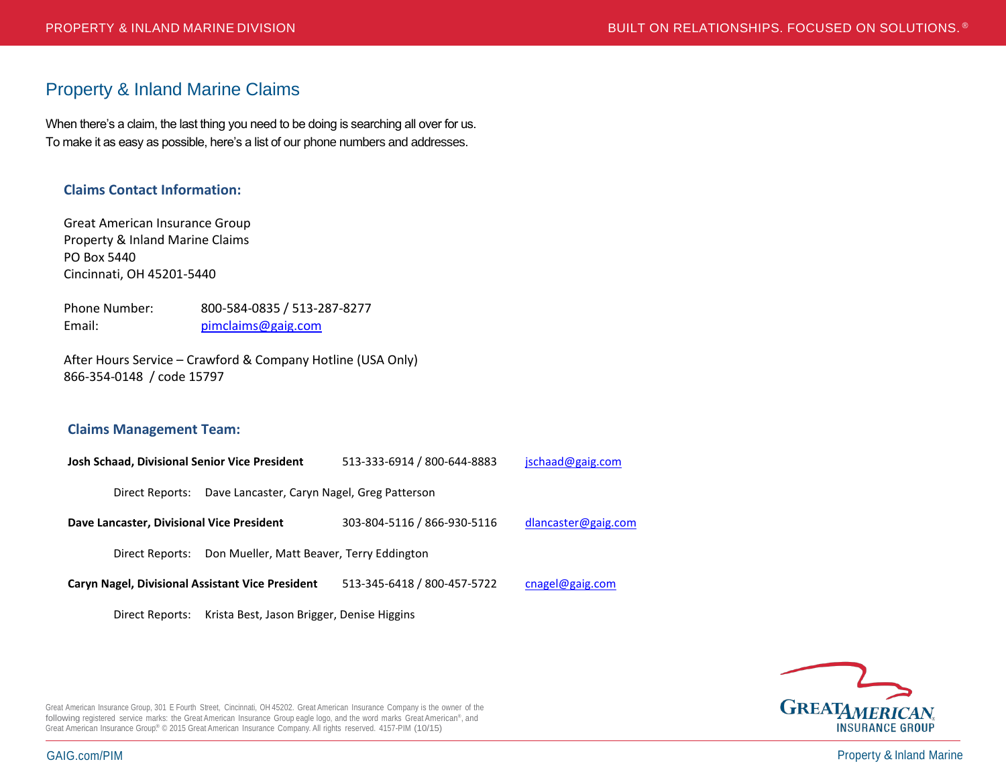# Property & Inland Marine Claims

When there's a claim, the last thing you need to be doing is searching all over for us. To make it as easy as possible, here's a list of our phone numbers and addresses.

# **Claims Contact Information:**

Great American Insurance Group Property & Inland Marine Claims PO Box 5440 Cincinnati, OH 45201-5440

Phone Number: 800-584-0835 / 513-287-8277 Email: [pimclaims@gaig.com](mailto:pimclaims@gaig.com)

After Hours Service – Crawford & Company Hotline (USA Only) 866-354-0148 / code 15797

### **Claims Management Team:**

**Josh Schaad, Divisional Senior Vice President** 513-333-6914 / 800-644-8883 [jschaad@gaig.com](mailto:jschaad@gaig.com) Direct Reports: Dave Lancaster, Caryn Nagel, Greg Patterson **Dave Lancaster, Divisional Vice President** 303-804-5116 / 866-930-5116 [dlancaster@gaig.com](mailto:dlancaster@gaig.com) Direct Reports: Don Mueller, Matt Beaver, Terry Eddington **Caryn Nagel, Divisional Assistant Vice President** 513-345-6418 / 800-457-5722 [cnagel@gaig.com](mailto:cnagel@gaig.com)

Direct Reports: Krista Best, Jason Brigger, Denise Higgins



Great American Insurance Group, 301 E Fourth Street, Cincinnati, OH 45202. Great American Insurance Company is the owner of the following registered service marks: the Great American Insurance Group eagle logo, and the word marks Great American®, and Great American Insurance Group.® © 2015 Great American Insurance Company. All rights reserved. 4157-PIM (10/15)